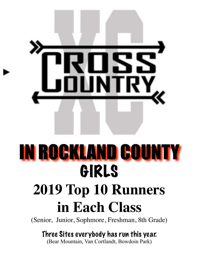

## IN ROCKLAND COUNTY GIRLS

### **2019 Top 10 Runners in Each Class**

(Senior, Junior, Sophmore, Freshman, 8th Grade)

### Three Sites everybody has run this year.

(Bear Mountain, Van Cortlandt, Bowdoin Park)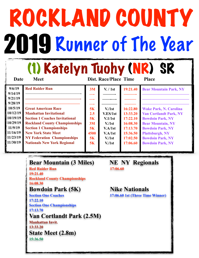# ROCKLAND COUNTY 2019 Runner of The Year

## (1) Katelyn Tuohy (NR) SR

| Date                | <b>Meet</b>                           |      | <b>Dist. Race/Place Time</b> |          | <b>Place</b>                  |
|---------------------|---------------------------------------|------|------------------------------|----------|-------------------------------|
| 9/6/19              | <b>Red Raider Run</b>                 | 3M   | V. / 1st                     | 19:21.40 | <b>Bear Mountain Park, NY</b> |
| 9/14/19<br>9/21/19  |                                       |      |                              |          |                               |
| 9/28/19             |                                       |      |                              |          |                               |
| 10/5/19             | <b>Great American Race</b>            | 5K   | V <sub>1st</sub>             | 16:22.80 | <b>Wake Park, N. Carolina</b> |
| 10/12/19            | <b>Manhattan Invitational</b>         | 2.5  | V.ES/1st                     | 13:33.20 | <b>Van Cortlandt Park, NY</b> |
| 10/19/19            | <b>Section 1 Coaches Invitational</b> | 5K   | V.1/1st                      | 17:22.10 | <b>Bowdoin Park, NY</b>       |
| 10/29/19            | <b>Rockland County Championships</b>  | 3M   | V <sub>1st</sub>             | 16:08.30 | <b>Bear Mountain, NY</b>      |
| $\parallel$ 11/9/19 | <b>Section 1 Championships</b>        | 5K   | V.A/1st                      | 17:13.70 | <b>Bowdoin Park, NY</b>       |
| 11/16/19            | <b>New York State Meet</b>            | 4500 | V.A/1st                      | 15:36.50 | <b>Plattsburgh, NY</b>        |
| 11/23/19            | <b>NY Federation Championships</b>    | 5K   | V <sub>1st</sub>             | 17:02.50 | <b>Bowdoin Park, NY</b>       |
| 11/30/19            | <b>Nationals New York Regional</b>    | 5K   | V <sub>1st</sub>             | 17:06.60 | <b>Bowdoin Park, NY</b>       |
|                     |                                       |      |                              |          |                               |

### **Bear Mountain (3 Miles) NE NY Regionals**

**Red Raider Run 17:06.60 19:21.40 Rockland County Championships 16:08.30** 

### **Bowdoin Park (5K)** Nike Nationals

**Section One Coaches** 17:06.60 1st (Three Time Winner) **17:22.10 Section One Championships 17:13.70 Van Cortlandt Park (2.5M) Manhattan Invit. 13:33.20 State Meet (2.8m)** 

#### **15:36.50**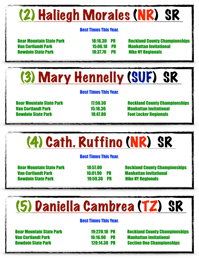### (2) Haliegh Morales (NR) SR

### Best Times This Year.

Bowdoin State Park 18:37.70 PR Nike NY Regionals

 Bear Mountain State Park 18:16.30 PR Rockland County Championships 15:06.10 PR Manhattan Invitational

(3) Mary Hennelly (SUF) SR

#### Best Times This Year.

 Van Cortlandt Park 15:16.30 Manhattan Invitational **Bowdoin State Park 18:47.80 Foot Locker Regionals** 

Bear Mountain State Park 17:50.30 Rockland County Championships



Best Times This Year.

 Van Cortlandt Park 16:01.90 PR Manhattan Invitational Bowdoin State Park 19:59.30 PR Nike NY Regionals

Bear Mountain State Park 18:57.00 Rockland County Championships

### (5) Daniella Cambrea (TZ) SR

### Best Times This Year.

Van Cortlandt Park 16:16.90 PR Manhattan Invitational

 Bear Mountain State Park 19:220.10 PR Rockland County Championships Bowdoin State Park 120:14.30 PR Section One Championships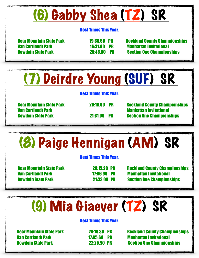### (6) Gabby Shea (TZ) SR

### Best Times This Year.

Van Cortlandt Park 16:31.00 PR Manhattan Invitational

Bear Mountain State Park 19:30.50 PR Rockland County Championships Bowdoin State Park 20:46.80 PR Section One Championships

(7) Deirdre Young (SUF) SR

#### Best Times This Year.

Van Cortlandt Park Manhattan Invitational

Bear Mountain State Park 20:10.00 PR Rockland County Championships Bowdoin State Park 21:31.00 PR Section One Championships

### (8) Paige Hennigan (AM) SR

#### Best Times This Year.

Van Cortlandt Park 17:06.90 PR Manhattan Invitational

Bear Mountain State Park 20:15.20 PR Rockland County Championships Bowdoin State Park 21:33.00 PR Section One Championships

### (9) Mia Giaever (TZ) SR

#### Best Times This Year.

Van Cortlandt Park 17:05.60 PR Manhattan Invitational

Bear Mountain State Park 20:18.30 PR Rockland County Championships Bowdoin State Park 22:25.90 PR Section One Championships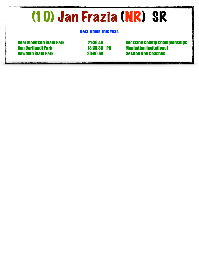|  |  |  | (10) Jan Frazia (NR) SR |  |  |  |
|--|--|--|-------------------------|--|--|--|
|--|--|--|-------------------------|--|--|--|

### Best Times This Year.

**Van Cortlandt Park 18:38.80 PR Manhattan Invitational<br>
Rection One Coaches**<br>
23:00.60 Section One Coaches

**Bear Mountain State Park 21:36.40 Rockland County Championships**<br> **Van Cortlandt Park 18:38.80 PR Manhattan Invitational Section One Coaches**